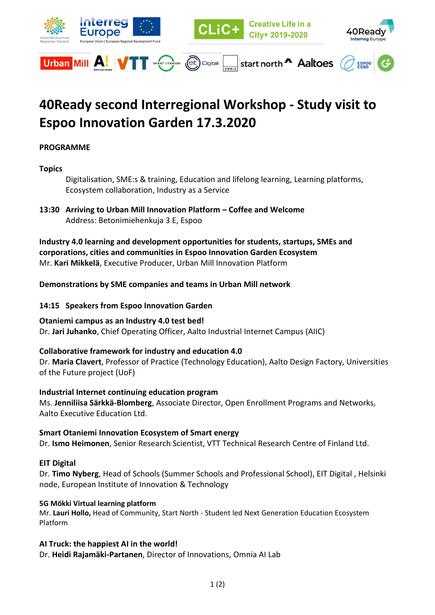

# **40Ready second Interregional Workshop - Study visit to Espoo Innovation Garden 17.3.2020**

## **PROGRAMME**

## **Topics**

Digitalisation, SME:s & training, Education and lifelong learning, Learning platforms, Ecosystem collaboration, Industry as a Service

**13:30 Arriving to Urban Mill Innovation Platform – Coffee and Welcome** Address: Betonimiehenkuja 3 E, Espoo

**Industry 4.0 learning and development opportunities for students, startups, SMEs and corporations, cities and communities in Espoo Innovation Garden Ecosystem** Mr. **Kari Mikkelä**, Executive Producer, Urban Mill Innovation Platform

#### **Demonstrations by SME companies and teams in Urban Mill network**

#### **14:15 Speakers from Espoo Innovation Garden**

#### **Otaniemi campus as an Industry 4.0 test bed!**

Dr. **Jari Juhanko**, Chief Operating Officer, Aalto Industrial Internet Campus (AIIC)

## **Collaborative framework for industry and education 4.0**

Dr. **Maria Clavert**, Professor of Practice (Technology Education), Aalto Design Factory, Universities of the Future project (UoF)

#### **Industrial Internet continuing education program**

Ms. **Jenniliisa Särkkä-Blomberg**, Associate Director, Open Enrollment Programs and Networks, Aalto Executive Education Ltd.

**Smart Otaniemi Innovation Ecosystem of Smart energy** Dr. **Ismo Heimonen**, Senior Research Scientist, VTT Technical Research Centre of Finland Ltd.

#### **EIT Digital**

Dr. **Timo Nyberg**, Head of Schools (Summer Schools and Professional School), EIT Digital , Helsinki node, European Institute of Innovation & Technology

#### **5G Mökki Virtual learning platform**

Mr. **Lauri Hollo,** Head of Community, Start North - Student led Next Generation Education Ecosystem Platform

## **AI Truck: the happiest AI in the world!**

Dr. **Heidi Rajamäki-Partanen**, Director of Innovations, Omnia AI Lab